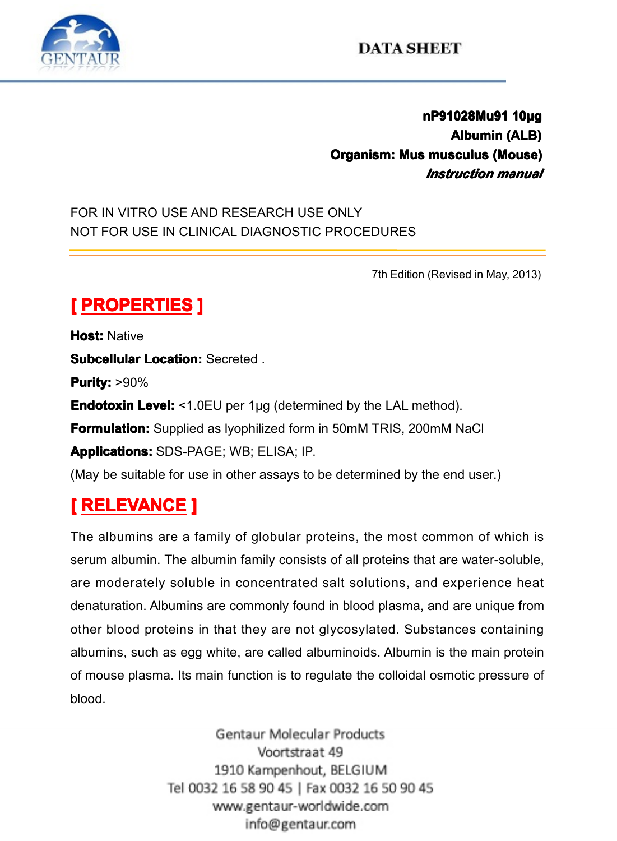

**nP91028Mu91 10µg**<br>Albumin (ALB)<br>musculus (Mouse)<br>*Instruction manual* **Albumin** (ALB)<br> **Albumin** (ALB)<br> **musculus (Mouse)**<br> *Instruction manual* **Organism: Mus musculus (Mouse)**<br> *Instruction manual*<br>E ONLY<br>PROCEDURES *Instruction Instruction manual*

FOR IN VITRO USE AND RESEARCH USE ONLY NOT FOR USE IN CLINICAL DIAGNOSTIC PROCEDURES<br>
MOT FOR USE IN CLINICAL DIAGNOSTIC PROCEDURES<br>
The Edition of PROPERTIES 1

7th Edition (Revised in May, 2013) **Example PROPERTIES**<br> **PROPERTIES**<br> **Purity:** >90%<br> **Endotoxin Level:** <1.0 **Host:** Native **SubcellularLocation:** Secreted .<br>**Purity:** >90%<br>**Endotoxin Level:** <1.0EU per 1µ<br>**Formulation:** Supplied as lyophili **Purity: Purity:**>90% **Endotoxin Level:** <1.0EU per 1µg (determined by the LAL method).<br>**Formulation:** Supplied as lyophilized form in 50mM TRIS, 200mM N<br>**Applications:** SDS-PAGE; WB; ELISA; IP.<br>(May be suitable for use in other assays to be de **Formulation:** Supplied as lyophilized form in 50mM TRIS, 200mM NaCl<br> **Applications:** SDS-PAGE; WB; ELISA; IP.<br>
(May be suitable for use in other assays to be determined by the end user.)<br> **RELEVANCE** ] **Applications:** SDS-PAGE; WB; ELISA; IP.

(May be suitable for use in other assays to be determined by the end user.)<br> **[RELEVANCE ]**<br>
The albumins are a family of globular proteins, the most common of w<br>
serum albumin. The albumin family consists of all proteins **[ RELEVANCE ]**<br>The albumins are a serum albumin. The a<br>are moderately solu<br>denaturation. Albumin The albumins are a family of globular proteins, the most common of which is serum albumin. The albumin family consists of all proteins that are water-soluble, are moderately soluble in concentrated salt solutions, and expe serum albumin. The albumin family consists of all proteins that are water-soluble, are moderately soluble in concentrated salt solutions, and experience heat denaturation. Albumins are commonly found in blood plasma, and a are moderately soluble in concentrated salt solutions, and experience heat<br>denaturation. Albumins are commonly found in blood plasma, and are unique from<br>other blood proteins in that they are not glycosylated. Substances c denaturation. Albumins are commonly found in blood plasma, and are unique from<br>other blood proteins in that they are not glycosylated. Substances containing<br>albumins, such as egg white, are called albuminoids. Albumin is t other blood proteins in that they are not glycosylated. Substances containing<br>albumins, such as egg white, are called albuminoids. Albumin is the main protein<br>of mouse plasma. Its main function is to requlate the colloidal albumins, such as egg white, are called albuminoids. Albumin is the main protein<br>of mouse plasma. Its main function is to regulate the colloidal osmotic pressure of<br>blood.<br>Gentaur Molecular Products of mouse plasma. Its main function is to regulate the colloidal osmotic pressure of<br>blood.<br>Gentaur Molecular Products<br>Voortstraat 49 blood.

1910 Kampenhout, BELGIUM Tel 0032 16 58 90 45 | Fax 0032 16 50 90 45 www.gentaur-worldwide.com info@gentaur.com